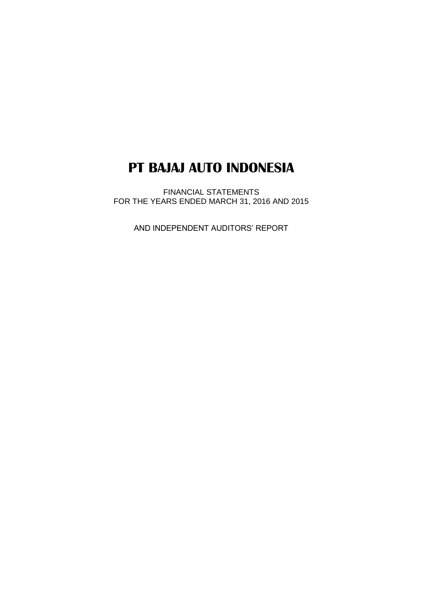FINANCIAL STATEMENTS FOR THE YEARS ENDED MARCH 31, 2016 AND 2015

AND INDEPENDENT AUDITORS' REPORT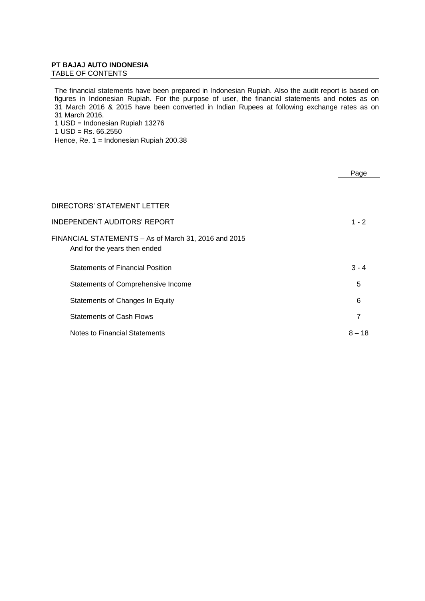TABLE OF CONTENTS

The financial statements have been prepared in Indonesian Rupiah. Also the audit report is based on figures in Indonesian Rupiah. For the purpose of user, the financial statements and notes as on 31 March 2016 & 2015 have been converted in Indian Rupees at following exchange rates as on 31 March 2016. 1 USD = Indonesian Rupiah 13276  $1$  USD = Rs. 66.2550

Hence, Re. 1 = Indonesian Rupiah 200.38

|                                                                                      | Page     |
|--------------------------------------------------------------------------------------|----------|
|                                                                                      |          |
| DIRECTORS' STATEMENT LETTER                                                          |          |
| INDEPENDENT AUDITORS' REPORT                                                         | $1 - 2$  |
| FINANCIAL STATEMENTS - As of March 31, 2016 and 2015<br>And for the years then ended |          |
| <b>Statements of Financial Position</b>                                              | $3 - 4$  |
| Statements of Comprehensive Income                                                   | 5        |
| Statements of Changes In Equity                                                      | 6        |
| <b>Statements of Cash Flows</b>                                                      | 7        |
| Notes to Financial Statements                                                        | $8 - 18$ |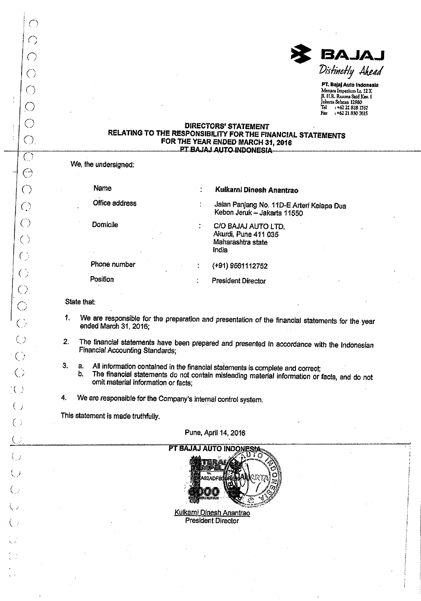

PT. Bajaj Auto Indonesia Menara Imperium Lt. 12 X<br>Jl. H.R. Rasuna Said Kav. 1 .<br>Jakarta Selatan 12980  $+62218281787$ <br> $+62218307615$ Tel Fax

### **DIRECTORS' STATEMENT** RELATING TO THE RESPONSIBILITY FOR THE FINANCIAL STATEMENTS FOR THE YEAR ENDED MARCH 31, 2016 PT BAJAJ AUTO INDONESIA

÷

t

 $\ddot{\cdot}$ 

We, the undersigned:

Name

Office address

Domicile

Kulkarni Dinesh Anantrao

Jalan Panjang No. 11D-E Arteri Kelapa Dua Kebon Jeruk - Jakarta 11550

C/O BAJAJ AUTO LTD. Akurdi, Pune 411 035 Maharashtra state India

(+91) 9561112752

**President Director** 

Phone number

Position

State that:

- We are responsible for the preparation and presentation of the financial statements for the year  $\mathbf{1}$ ended March 31, 2016;
- The financial statements have been prepared and presented in accordance with the Indonesian  $2.$ **Financial Accounting Standards:**
- All information contained in the financial statements is complete and correct; 3. a. The financial statements do not contain misleading material information or facts, and do not b. omit material information or facts:

Pune, April 14, 2016

We are responsible for the Company's internal control system. 4.

This statement is made truthfully.



**President Director** 

 $\bigcirc$ 

 $(\ )$ 

 $\bigcirc$ 

 $\bigcirc$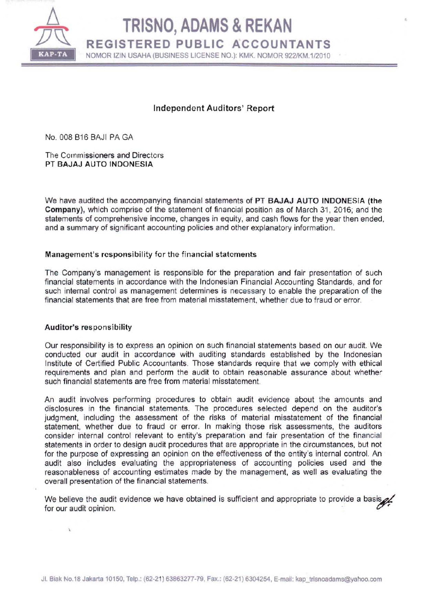

# TRISNO, ADAMS & REKAN

REGISTERED PUBLIC ACCOUNTANTS

NOMOR IZIN USAHA (BUSINESS LICENSE NO.): KMK. NOMOR 922/KM.1/2010

# Independent Auditors' Report

No. 008 B16 SAJI PA GA

The Commissioners and Directors PT BAJAJ AUTO INDONESIA

We have audited the accompanying financial statements of PT BAJAJ AUTO INDONESIA (the Company), which comprise of the statement of financial position as of March 31, 2016; and the statements of comprehensive income, changes in equity, and cash flows for the year then ended, and a summary of significant accounting policies and other explanatory information.

## Management's responsibility for the financial statements

The Company's management is responsible for the preparation and fair presentation of such financial statements in accordance with the Indonesian Financial Accounting Standards, and for such internal control as management determines is necessary to enable the preparation of the financial statements that are free from material misstatement. whether due to fraud or error.

## Auditor's responsibility

Our responsibility is to express an opinion on such financial statements based on our audit. We conducted our audit in accordance with auditing standards established by the Indonesian Institute of Certified Public Accountants. Those standards require that we comply with ethical requirements and plan and perform the audit to obtain reasonable assurance about whether such financial statements are free from material misstatement.

An audit involves periorming procedures to obtain audit evidence about the amounts and disclosures in the financial statements. The procedures selected depend on the auditor's judgment, including the assessment of the risks of material misstatement of the financial statement, whether due to fraud or error. In making those risk assessments. the auditors consider internal control relevant to entity's preparation and fair presentation of the financial statements in order to design audit procedures that are appropriate in the circumstances, but not for the purpose of expressing an opinion on the effectiveness of the entity's internal control. An audit also includes evaluating the appropriateness of accounting policies used and the reasonableness of accounting estimates made by the management, as well as evaluating the overall presentation of the financial statements.

We believe the audit evidence we have obtained is sufficient and appropriate to provide a basis for our audit opinion.  $\mathscr{F}$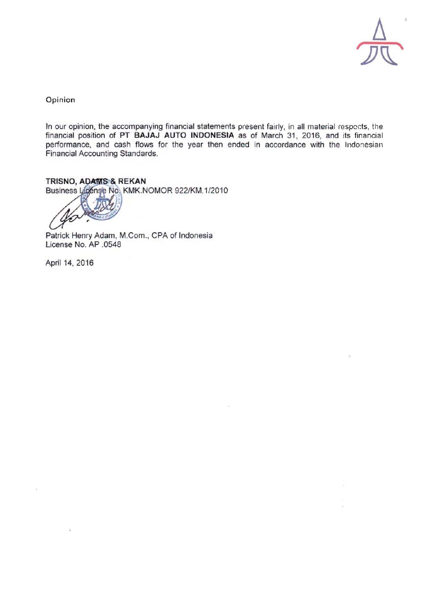

Opinion

In our opinion, the accompanying financial statements present fairly, in all material respects, the financial position of **PT BAJAJ AUTO INDONESIA** as of March 31, 2016, and its financial performance, and cash flows for the year then ended in accordance with the Indonesian Financial Accounting Standards.

TRISNO, ADAMS & REKAN Business Linense No. KMK.NOMOR 922/KM.1/2010

Patrick Henry Adam, M.Com., CPA of Indonesia License No. AP .0548

April 14, 2016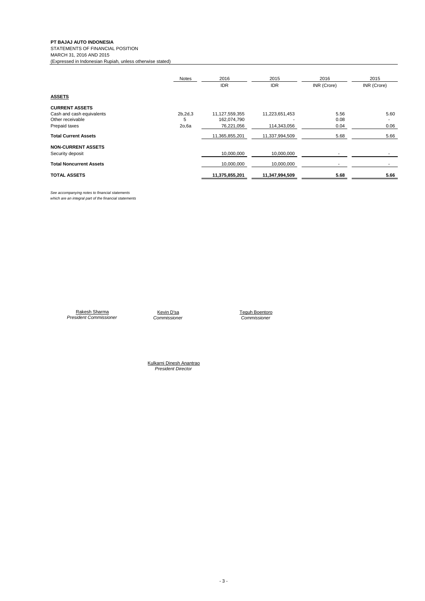STATEMENTS OF FINANCIAL POSITION MARCH 31, 2016 AND 2015 (Expressed in Indonesian Rupiah, unless otherwise stated)

|                                | Notes     | 2016           | 2015           | 2016        | 2015                     |
|--------------------------------|-----------|----------------|----------------|-------------|--------------------------|
|                                |           | <b>IDR</b>     | <b>IDR</b>     | INR (Crore) | INR (Crore)              |
| <b>ASSETS</b>                  |           |                |                |             |                          |
| <b>CURRENT ASSETS</b>          |           |                |                |             |                          |
| Cash and cash equivalents      | 2b, 2d, 3 | 11,127,559,355 | 11,223,651,453 | 5.56        | 5.60                     |
| Other receivable               | 5         | 162,074,790    |                | 0.08        | $\overline{\phantom{a}}$ |
| Prepaid taxes                  | 2o,6a     | 76,221,056     | 114,343,056    | 0.04        | 0.06                     |
| <b>Total Current Assets</b>    |           | 11,365,855,201 | 11,337,994,509 | 5.68        | 5.66                     |
| <b>NON-CURRENT ASSETS</b>      |           |                |                |             |                          |
| Security deposit               |           | 10,000,000     | 10,000,000     |             |                          |
| <b>Total Noncurrent Assets</b> |           | 10,000,000     | 10,000,000     | ۰           |                          |
| <b>TOTAL ASSETS</b>            |           | 11,375,855,201 | 11,347,994,509 | 5.68        | 5.66                     |

*See accompanying notes to financial statements which are an integral part of the financial statements*

Rakesh Sharma Kevin D'sa Teguh Boentoro *President Commissioner Commissioner Commissioner*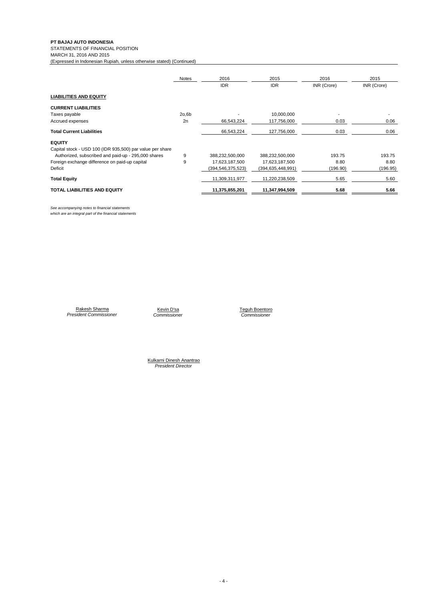STATEMENTS OF FINANCIAL POSITION

MARCH 31, 2016 AND 2015

(Expressed in Indonesian Rupiah, unless otherwise stated) (Continued)

|                                                           | Notes | 2016              | 2015                 | 2016        | 2015        |
|-----------------------------------------------------------|-------|-------------------|----------------------|-------------|-------------|
|                                                           |       | <b>IDR</b>        | <b>IDR</b>           | INR (Crore) | INR (Crore) |
| <b>LIABILITIES AND EQUITY</b>                             |       |                   |                      |             |             |
| <b>CURRENT LIABILITIES</b>                                |       |                   |                      |             |             |
| Taxes payable                                             | 20,6b |                   | 10,000,000           |             |             |
| Accrued expenses                                          | 2n    | 66,543,224        | 117,756,000          | 0.03        | 0.06        |
| <b>Total Current Liabilities</b>                          |       | 66,543,224        | 127,756,000          | 0.03        | 0.06        |
| <b>EQUITY</b>                                             |       |                   |                      |             |             |
| Capital stock - USD 100 (IDR 935,500) par value per share |       |                   |                      |             |             |
| Authorized, subscribed and paid-up - 295,000 shares       | 9     | 388,232,500,000   | 388,232,500,000      | 193.75      | 193.75      |
| Foreign exchange difference on paid-up capital            | 9     | 17,623,187,500    | 17,623,187,500       | 8.80        | 8.80        |
| Deficit                                                   |       | (394,546,375,523) | (394, 635, 448, 991) | (196.90)    | (196.95)    |
| <b>Total Equity</b>                                       |       | 11,309,311,977    | 11,220,238,509       | 5.65        | 5.60        |
| <b>TOTAL LIABILITIES AND EQUITY</b>                       |       | 11,375,855,201    | 11,347,994,509       | 5.68        | 5.66        |

*See accompanying notes to financial statements*

*which are an integral part of the financial statements*

Rakesh Sharma Kevin D'sa Teguh Boentoro *President Commissioner Commissioner Commissioner*

*President Director* Kulkarni Dinesh Anantrao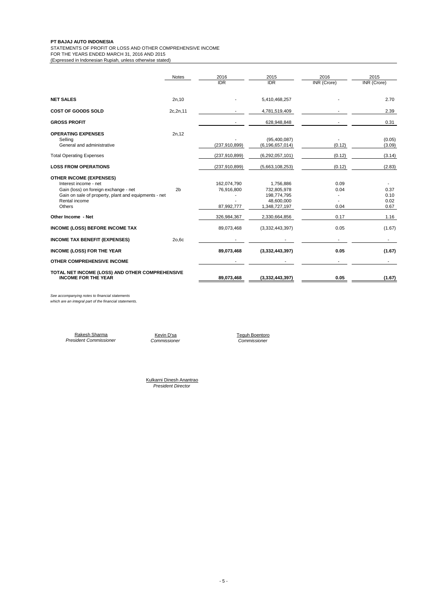STATEMENTS OF PROFIT OR LOSS AND OTHER COMPREHENSIVE INCOME FOR THE YEARS ENDED MARCH 31, 2016 AND 2015

(Expressed in Indonesian Rupiah, unless otherwise stated)

|                                                                                                                                                                                     | Notes          | 2016<br>$\overline{IDR}$                | 2015<br><b>IDR</b>                                                     | 2016<br>$\overline{\text{INR}}$ (Crore) | 2015<br>INR (Crore)                    |
|-------------------------------------------------------------------------------------------------------------------------------------------------------------------------------------|----------------|-----------------------------------------|------------------------------------------------------------------------|-----------------------------------------|----------------------------------------|
| <b>NET SALES</b>                                                                                                                                                                    | 2n, 10         |                                         | 5,410,468,257                                                          |                                         | 2.70                                   |
| <b>COST OF GOODS SOLD</b>                                                                                                                                                           | 2c, 2n, 11     |                                         | 4,781,519,409                                                          |                                         | 2.39                                   |
| <b>GROSS PROFIT</b>                                                                                                                                                                 |                |                                         | 628,948,848                                                            |                                         | 0.31                                   |
| <b>OPERATING EXPENSES</b><br>Selling<br>General and administrative                                                                                                                  | 2n, 12         | (237,910,899)                           | (95,400,087)<br>(6, 196, 657, 014)                                     | (0.12)                                  | (0.05)<br>(3.09)                       |
| <b>Total Operating Expenses</b>                                                                                                                                                     |                | (237, 910, 899)                         | (6,292,057,101)                                                        | (0.12)                                  | (3.14)                                 |
| <b>LOSS FROM OPERATIONS</b>                                                                                                                                                         |                | (237, 910, 899)                         | (5,663,108,253)                                                        | (0.12)                                  | (2.83)                                 |
| <b>OTHER INCOME (EXPENSES)</b><br>Interest income - net<br>Gain (loss) on foreign exchange - net<br>Gain on sale of property, plant and equipments - net<br>Rental income<br>Others | 2 <sub>b</sub> | 162,074,790<br>76.916.800<br>87,992,777 | 1,756,886<br>732,805,978<br>198,774,795<br>48,600,000<br>1,348,727,197 | 0.09<br>0.04<br>0.04                    | $\sim$<br>0.37<br>0.10<br>0.02<br>0.67 |
| Other Income - Net                                                                                                                                                                  |                | 326,984,367                             | 2,330,664,856                                                          | 0.17                                    | 1.16                                   |
| <b>INCOME (LOSS) BEFORE INCOME TAX</b>                                                                                                                                              |                | 89,073,468                              | (3,332,443,397)                                                        | 0.05                                    | (1.67)                                 |
| <b>INCOME TAX BENEFIT (EXPENSES)</b>                                                                                                                                                | 20,6c          |                                         |                                                                        |                                         |                                        |
| <b>INCOME (LOSS) FOR THE YEAR</b>                                                                                                                                                   |                | 89,073,468                              | (3,332,443,397)                                                        | 0.05                                    | (1.67)                                 |
| OTHER COMPREHENSIVE INCOME                                                                                                                                                          |                |                                         |                                                                        |                                         |                                        |
| TOTAL NET INCOME (LOSS) AND OTHER COMPREHENSIVE<br><b>INCOME FOR THE YEAR</b>                                                                                                       |                | 89,073,468                              | (3,332,443,397)                                                        | 0.05                                    | (1.67)                                 |

*See accompanying notes to financial statements which are an integral part of the financial statements.*

Rakesh Sharma Kevin D'sa Teguh Boentoro *President Commissioner Commissioner Commissioner*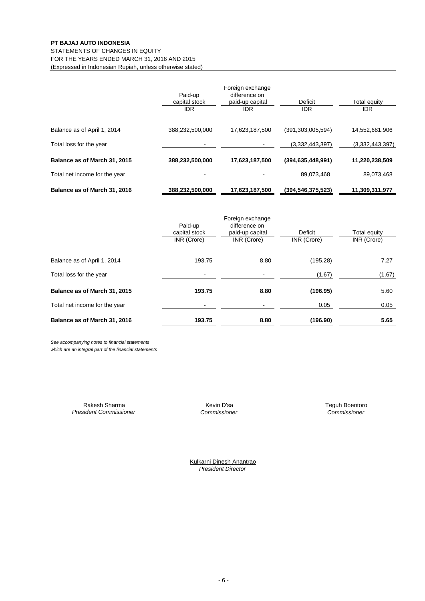### FOR THE YEARS ENDED MARCH 31, 2016 AND 2015 (Expressed in Indonesian Rupiah, unless otherwise stated) **PT BAJAJ AUTO INDONESIA** STATEMENTS OF CHANGES IN EQUITY

|                               | Paid-up<br>capital stock<br><b>IDR</b> | Foreign exchange<br>difference on<br>paid-up capital<br><b>IDR</b> | Deficit<br><b>IDR</b> | Total equity<br><b>IDR</b> |
|-------------------------------|----------------------------------------|--------------------------------------------------------------------|-----------------------|----------------------------|
| Balance as of April 1, 2014   | 388.232.500.000                        | 17,623,187,500                                                     | (391, 303, 005, 594)  | 14,552,681,906             |
| Total loss for the year       |                                        |                                                                    | (3,332,443,397)       | (3,332,443,397)            |
| Balance as of March 31, 2015  | 388,232,500,000                        | 17,623,187,500                                                     | (394, 635, 448, 991)  | 11,220,238,509             |
| Total net income for the year |                                        |                                                                    | 89,073,468            | 89,073,468                 |
| Balance as of March 31, 2016  | 388,232,500,000                        | 17,623,187,500                                                     | (394,546,375,523)     | 11,309,311,977             |

|                               | Paid-up<br>capital stock<br>INR (Crore) | Foreign exchange<br>difference on<br>paid-up capital<br>INR (Crore) | Deficit<br>INR (Crore) | Total equity<br>INR (Crore) |
|-------------------------------|-----------------------------------------|---------------------------------------------------------------------|------------------------|-----------------------------|
| Balance as of April 1, 2014   | 193.75                                  | 8.80                                                                | (195.28)               | 7.27                        |
| Total loss for the year       | ٠                                       |                                                                     | (1.67)                 | (1.67)                      |
| Balance as of March 31, 2015  | 193.75                                  | 8.80                                                                | (196.95)               | 5.60                        |
| Total net income for the year | ۰                                       |                                                                     | 0.05                   | 0.05                        |
| Balance as of March 31, 2016  | 193.75                                  | 8.80                                                                | (196.90)               | 5.65                        |

*See accompanying notes to financial statements which are an integral part of the financial statements*

> Rakesh Sharma **Kevin D'sa** Kevin D'sa **Kevin D'sa** Teguh Boentoro *President Commissioner*

*Commissioner Commissioner*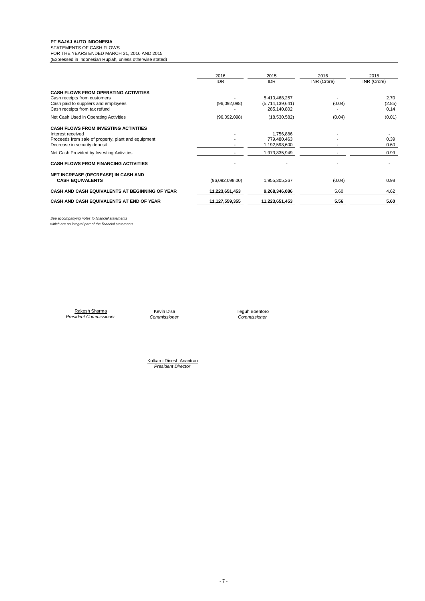#### STATEMENTS OF CASH FLOWS

FOR THE YEARS ENDED MARCH 31, 2016 AND 2015 (Expressed in Indonesian Rupiah, unless otherwise stated)

|                                                                                                                                                                                                      | 2016<br>IDR     | 2015<br><b>IDR</b>                                         | 2016<br><b>INR</b> (Crore) | 2015<br><b>INR</b> (Crore) |
|------------------------------------------------------------------------------------------------------------------------------------------------------------------------------------------------------|-----------------|------------------------------------------------------------|----------------------------|----------------------------|
| <b>CASH FLOWS FROM OPERATING ACTIVITIES</b><br>Cash receipts from customers<br>Cash paid to suppliers and employees<br>Cash receipts from tax refund                                                 | (96,092,098)    | 5,410,468,257<br>(5,714,139,641)<br>285,140,802            | (0.04)                     | 2.70<br>(2.85)<br>0.14     |
| Net Cash Used in Operating Activities                                                                                                                                                                | (96,092,098)    | (18,530,582)                                               | (0.04)                     | (0.01)                     |
| <b>CASH FLOWS FROM INVESTING ACTIVITIES</b><br>Interest received<br>Proceeds from sale of property, plant and equipment<br>Decrease in security deposit<br>Net Cash Provided by Investing Activities |                 | 1,756,886<br>779,480,463<br>1,192,598,600<br>1,973,835,949 |                            | 0.39<br>0.60<br>0.99       |
| <b>CASH FLOWS FROM FINANCING ACTIVITIES</b>                                                                                                                                                          |                 |                                                            |                            |                            |
| <b>NET INCREASE (DECREASE) IN CASH AND</b><br><b>CASH EQUIVALENTS</b>                                                                                                                                | (96,092,098.00) | 1,955,305,367                                              | (0.04)                     | 0.98                       |
| CASH AND CASH EQUIVALENTS AT BEGINNING OF YEAR                                                                                                                                                       | 11,223,651,453  | 9,268,346,086                                              | 5.60                       | 4.62                       |
| CASH AND CASH EQUIVALENTS AT END OF YEAR                                                                                                                                                             | 11,127,559,355  | 11,223,651,453                                             | 5.56                       | 5.60                       |

*See accompanying notes to financial statements which are an integral part of the financial statements*

Rakesh Sharma Kevin D'sa Teguh Boentoro *President Commissioner Commissioner Commissioner*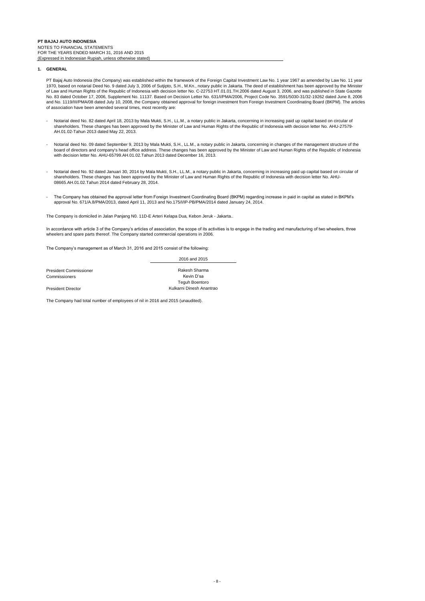#### **1. GENERAL**

PT Bajaj Auto Indonesia (the Company) was established within the framework of the Foreign Capital Investment Law No. 1 year 1967 as amended by Law No. 11 year 1970, based on notarial Deed No. 9 dated July 3, 2006 of Sutjipto, S.H., M.Kn., notary public in Jakarta. The deed of establishment has been approved by the Minister<br>of Law and Human Rights of the Republic of Indonesia wit No. 83 dated October 17, 2006, Supplement No. 11137. Based on Decision Letter No. 631/I/PMA/2006, Project Code No. 3591/5030-31/32-19262 dated June 8, 2006 and No. 1119/III/PMA/08 dated July 10, 2008, the Company obtained approval for foreign investment from Foreign Investment Coordinating Board (BKPM). The articles of association have been amended several times, most recently are:

- Notarial deed No. 82 dated April 18, 2013 by Mala Mukti, S.H., LL.M., a notary public in Jakarta, concerning in increasing paid up capital based on circular of shareholders. These changes has been approved by the Minister of Law and Human Rights of the Republic of Indonesia with decision letter No. AHU-27579- AH.01.02-Tahun 2013 dated May 22, 2013.
- Notarial deed No. 09 dated September 9, 2013 by Mala Mukti, S.H., LL.M., a notary public in Jakarta, concerning in changes of the management structure of the board of directors and company's head office address. These changes has been approved by the Minister of Law and Human Rights of the Republic of Indonesia with decision letter No. AHU-65799.AH.01.02.Tahun 2013 dated December 16, 2013.
- Notarial deed No. 92 dated Januari 30, 2014 by Mala Mukti, S.H., LL.M., a notary public in Jakarta, concerning in increasing paid up capital based on circular of shareholders. These changes has been approved by the Minister of Law and Human Rights of the Republic of Indonesia with decision letter No. AHU-08665.AH.01.02.Tahun 2014 dated February 28, 2014.
- The Company has obtained the approval letter from Foreign Investment Coordinating Board (BKPM) regarding increase in paid in capital as stated in BKPM's approval No. 671/A.8/PMA/2013, dated April 11, 2013 and No.175/I/IP-PB/PMA/2014 dated January 24, 2014.

The Company is domiciled in Jalan Panjang N0. 11D-E Arteri Kelapa Dua, Kebon Jeruk - Jakarta..

In accordance with article 3 of the Company's articles of association, the scope of its activities is to engage in the trading and manufacturing of two wheelers, three wheelers and spare parts thereof. The Company started commercial operations in 2006.

The Company's management as of March 31, 2016 and 2015 consist of the following:

|                               | 2016 and 2015            |
|-------------------------------|--------------------------|
|                               |                          |
| <b>President Commissioner</b> | Rakesh Sharma            |
| Commissioners                 | Kevin D'sa               |
|                               | <b>Tequh Boentoro</b>    |
| <b>President Director</b>     | Kulkarni Dinesh Anantrao |

The Company had total number of employees of nil in 2016 and 2015 (unaudited).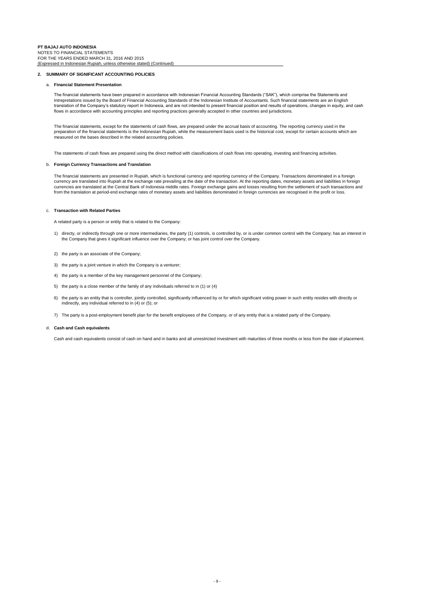#### **2. SUMMARY OF SIGNIFICANT ACCOUNTING POLICIES**

#### a. **Financial Statement Presentation**

The financial statements have been prepared in accordance with Indonesian Financial Accounting Standards ("SAK"), which comprise the Statements and Intrepretations issued by the Board of Financial Accounting Standards of the Indonesian Institute of Accountants. Such financial statements are an English translation of the Company's statutory report in Indonesia, and are not intended to present financial position and results of operations, changes in equity, and cash flows in accordance with accounting principles and reporting practices generally accepted in other countries and jurisdictions.

The financial statements, except for the statements of cash flows, are prepared under the accrual basis of accounting. The reporting currency used in the preparation of the financial statements is the Indonesian Rupiah, while the measurement basis used is the historical cost, except for certain accounts which are measured on the bases described in the related accounting policies.

The statements of cash flows are prepared using the direct method with classifications of cash flows into operating, investing and financing activities.

#### b. **Foreign Currency Transactions and Translation**

The financial statements are presented in Rupiah, which is functional currency and reporting currency of the Company. Transactions denominated in a foreign currency are translated into Rupiah at the exchange rate prevailing at the date of the transaction. At the reporting dates, monetary assets and liabilities in foreign<br>currencies are translated at the Central Bank of Indone from the translation at period-end exchange rates of monetary assets and liabilities denominated in foreign currencies are recognised in the profit or loss.

#### c. **Transaction with Related Parties**

A related party is a person or entity that is related to the Company:

- 1) directy, or indirectly through one or more intermediaries, the party (1) controls, is controlled by, or is under common control with the Company; has an interest in the Company that gives it significant influence over the Company; or has joint control over the Company.
- 2) the party is an associate of the Company;
- 3) the party is a joint venture in which the Company is a venturer;
- 4) the party is a member of the key management personnel of the Company;
- 5) the party is a close member of the family of any individuals referred to in (1) or (4)
- 6) the party is an entity that is controller, jointly controlled, significantly influenced by or for which significant voting power in such entity resides with directly or indirectly, any individual referred to in (4) or (5); or
- 7) The party is a post-employment benefit plan for the benefit employees of the Company, or of any entity that is a related party of the Company.

#### d. **Cash and Cash equivalents**

Cash and cash equivalents consist of cash on hand and in banks and all unrestricted investment with maturities of three months or less from the date of placement.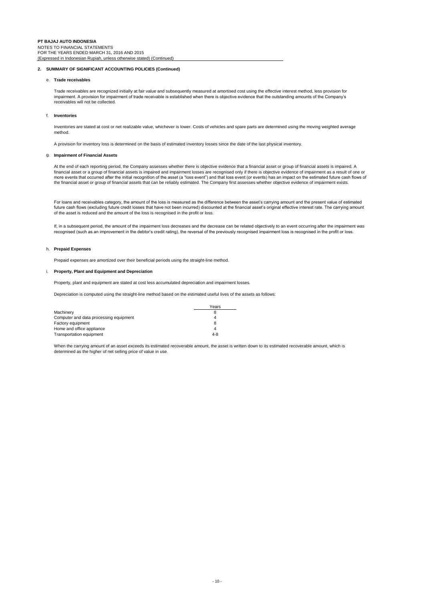#### **2. SUMMARY OF SIGNIFICANT ACCOUNTING POLICIES (Continued)**

#### e. **Trade receivables**

Trade receivables are recognized initially at fair value and subsequently measured at amortised cost using the effective interest method, less provision for impairment. A provision for impairment of trade receivable is established when there is objective evidence that the outstanding amounts of the Company's receivables will not be collected.

#### f. **Inventories**

Inventories are stated at cost or net realizable value, whichever is lower. Costs of vehicles and spare parts are determined using the moving weighted average method.

A provision for inventory loss is determined on the basis of estimated inventory losses since the date of the last physical inventory.

#### g. **Impairment of Financial Assets**

At the end of each reporting period, the Company assesses whether there is objective evidence that a financial asset or group of financial assets is impaired. A financial asset or a group of financial assets is impaired and impairment losses are recognised only if there is objective evidence of impairment as a result of one or<br>more events that occurred after the initial recognitio the financial asset or group of financial assets that can be reliably estimated. The Company first assesses whether objective evidence of impairment exists.

For loans and receivables category, the amount of the loss is measured as the difference between the asset's carrying amount and the present value of estimated future cash flows (excluding future credit losses that have not been incurred) discounted at the financial asset's original effective interest rate. The carrying amount<br>of the asset is reduced and the amount of the loss is

If, in a subsequent period, the amount of the impairment loss decreases and the decrease can be related objectively to an event occurring after the impairment was recognised (such as an improvement in the debtor's credit rating), the reversal of the previously recognised impairment loss is recognised in the profit or loss.

#### h. **Prepaid Expenses**

Prepaid expenses are amortized over their beneficial periods using the straight-line method.

#### i. **Property, Plant and Equipment and Depreciation**

Property, plant and equipment are stated at cost less accumulated depreciation and impairment losses.

Depreciation is computed using the straight-line method based on the estimated useful lives of the assets as follows:

|                                        | Years   |
|----------------------------------------|---------|
| Machinery                              |         |
| Computer and data processing equipment | 4       |
| Factory equipment                      | 8       |
| Home and office appliance              | 4       |
| Transportation equipment               | $4 - 8$ |

When the carrying amount of an asset exceeds its estimated recoverable amount, the asset is written down to its estimated recoverable amount, which is determined as the higher of net selling price of value in use.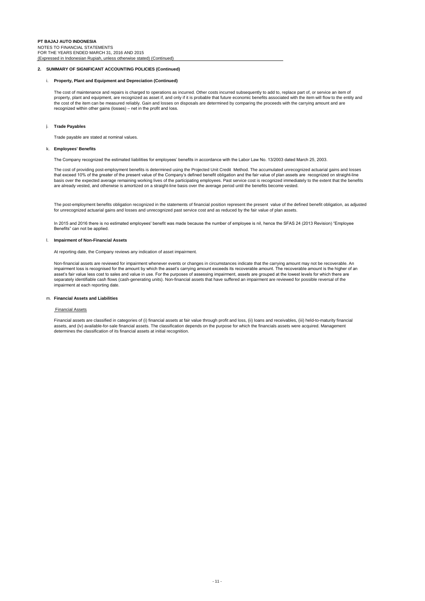#### **2. SUMMARY OF SIGNIFICANT ACCOUNTING POLICIES (Continued)**

#### i. **Property, Plant and Equipment and Depreciation (Continued)**

The cost of maintenance and repairs is charged to operations as incurred. Other costs incurred subsequently to add to, replace part of, or service an item of property, plant and equipment, are recognized as asset if, and only if it is probable that future economic benefits associated with the item will flow to the entity and<br>the cost of the item can be measured reliably. Gain a recognized within other gains (losses) – net in the profit and loss.

#### j. **Trade Payables**

Trade payable are stated at nominal values.

#### k. **Employees' Benefits**

The Company recognized the estimated liabilities for employees' benefits in accordance with the Labor Law No. 13/2003 dated March 25, 2003.

The cost of providing post-employment benefits is determined using the Projected Unit Credit Method. The accumulated unrecognized actuarial gains and losses<br>that exceed 10% of the greater of the present value of the Compa basis over the expected average remaining working lives of the participating employees. Past service cost is recognized immediately to the extent that the benefits are already vested, and otherwise is amortized on a straight-line basis over the average period until the benefits become vested.

The post-employment benefits obligation recognized in the statements of financial position represent the present value of the defined benefit obligation, as adjusted for unrecognized actuarial gains and losses and unrecognized past service cost and as reduced by the fair value of plan assets.

In 2015 and 2016 there is no estimated employees' benefit was made because the number of employee is nil, hence the SFAS 24 (2013 Revision) "Employee Benefits" can not be applied.

#### l. **Impairment of Non-Financial Assets**

At reporting date, the Company reviews any indication of asset impairment.

Non-financial assets are reviewed for impairment whenever events or changes in circumstances indicate that the carrying amount may not be recoverable. An impairment loss is recognised for the amount by which the asset's carrying amount exceeds its recoverable amount. The recoverable amount is the higher of an asset's fair value less cost to sales and value in use. For the purposes of assessing impairment, assets are grouped at the lowest levels for which there are separately identifiable cash flows (cash-generating units). Non-financial assets that have suffered an impairment are reviewed for possible reversal of the impairment at each reporting date.

#### m. **Financial Assets and Liabilities**

#### Financial Assets

Financial assets are classified in categories of (i) financial assets at fair value through profit and loss, (ii) loans and receivables, (iii) held-to-maturity financial assets, and (iv) available-for-sale financial assets. The classification depends on the purpose for which the financials assets were acquired. Management determines the classification of its financial assets at initial recognition.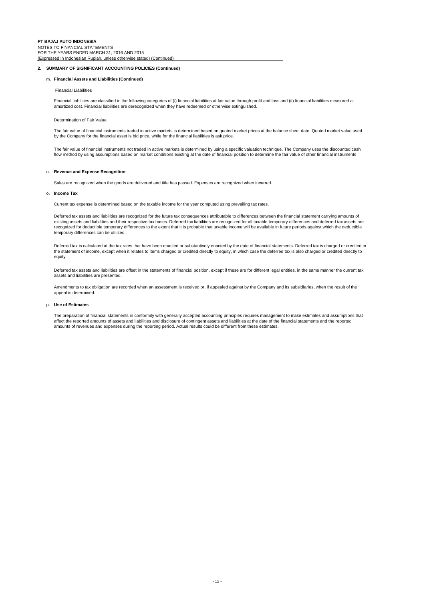#### **2. SUMMARY OF SIGNIFICANT ACCOUNTING POLICIES (Continued)**

#### m. **Financial Assets and Liabilities (Continued)**

#### Financial Liabilities

Financial liabilities are classified in the following categories of (i) financial liabilities at fair value through profit and loss and (ii) financial liabilities measured at amortized cost. Financial liabilities are derecognized when they have redeemed or otherwise extinguished.

#### Determination of Fair Value

The fair value of financial instruments traded in active markets is determined based on quoted market prices at the balance sheet date. Quoted market value used by the Company for the financial asset is bid price, while for the financial liabilities is ask price.

The fair value of financial instruments not traded in active markets is determined by using a specific valuation technique. The Company uses the discounted cash<br>flow method by using assumptions based on market conditions e

#### n. **Revenue and Expense Recognition**

Sales are recognized when the goods are delivered and title has passed. Expenses are recognized when incurred.

#### o. **Income Tax**

Current tax expense is determined based on the taxable income for the year computed using prevailing tax rates.

Deferred tax assets and liabilities are recognized for the future tax consequences attributable to differences between the financial statement carrying amounts of existing assets and liabilities and their respective tax bases. Deferred tax liabilities are recognized for all taxable temporary differences and deferred tax assets are recognized for deductible temporary differences to the extent that it is probable that taxable income will be available in future periods against which the deductible temporary differences can be utilized.

Deferred tax is calculated at the tax rates that have been enacted or substantively enacted by the date of financial statements. Deferred tax is charged or credited in the statement of income, except when it relates to items charged or credited directly to equity, in which case the deferred tax is also charged or credited directly to equity.

Deferred tax assets and liabilities are offset in the statements of financial position, except if these are for different legal entities, in the same manner the current tax assets and liabilities are presented.

Amendments to tax obligation are recorded when an assessment is received or, if appealed against by the Company and its subsidiaries, when the result of the appeal is determined.

#### p. **Use of Estimates**

The preparation of financial statements in conformity with generally accepted accounting principles requires management to make estimates and assumptions that<br>affect the reported amounts of assets and liabilities and discl amounts of revenues and expenses during the reporting period. Actual results could be different from these estimates.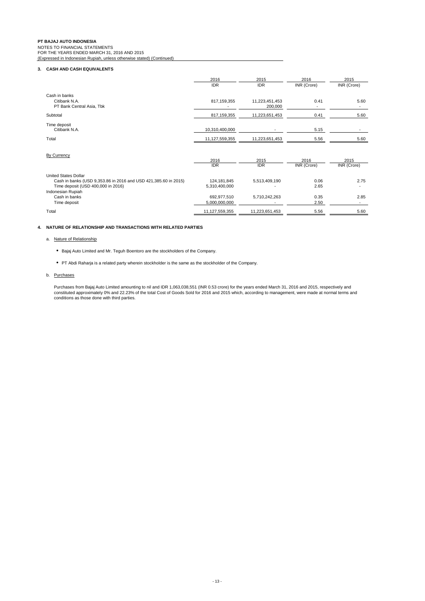**PT BAJAJ AUTO INDONESIA** NOTES TO FINANCIAL STATEMENTS FOR THE YEARS ENDED MARCH 31, 2016 AND 2015

(Expressed in Indonesian Rupiah, unless otherwise stated) (Continued)

#### **3. CASH AND CASH EQUIVALENTS**

|                                                                                                                                                                                            | 2016<br><b>IDR</b>                                           | 2015<br><b>IDR</b>             | 2016<br>INR (Crore)          | 2015<br>INR (Crore)                      |
|--------------------------------------------------------------------------------------------------------------------------------------------------------------------------------------------|--------------------------------------------------------------|--------------------------------|------------------------------|------------------------------------------|
| Cash in banks<br>Citibank N.A.<br>PT Bank Central Asia, Tbk                                                                                                                                | 817,159,355                                                  | 11,223,451,453<br>200,000      | 0.41                         | 5.60<br>$\overline{\phantom{a}}$         |
| Subtotal                                                                                                                                                                                   | 817,159,355                                                  | 11,223,651,453                 | 0.41                         | 5.60                                     |
| Time deposit<br>Citibank N.A.                                                                                                                                                              | 10,310,400,000                                               |                                | 5.15                         |                                          |
| Total                                                                                                                                                                                      | 11,127,559,355                                               | 11,223,651,453                 | 5.56                         | 5.60                                     |
| By Currency                                                                                                                                                                                | 2016<br><b>IDR</b>                                           | 2015<br><b>IDR</b>             | 2016<br>INR (Crore)          | 2015<br>$\overline{\text{INR}}$ (Crore)  |
| <b>United States Dollar</b><br>Cash in banks (USD 9,353.86 in 2016 and USD 421,385.60 in 2015)<br>Time deposit (USD 400,000 in 2016)<br>Indonesian Rupiah<br>Cash in banks<br>Time deposit | 124,181,845<br>5,310,400,000<br>692,977,510<br>5,000,000,000 | 5,513,409,190<br>5,710,242,263 | 0.06<br>2.65<br>0.35<br>2.50 | 2.75<br>2.85<br>$\overline{\phantom{a}}$ |
| Total                                                                                                                                                                                      | 11,127,559,355                                               | 11,223,651,453                 | 5.56                         | 5.60                                     |

#### **4. NATURE OF RELATIONSHIP AND TRANSACTIONS WITH RELATED PARTIES**

#### a. Nature of Relationship

- Bajaj Auto Limited and Mr. Teguh Boentoro are the stockholders of the Company.
- PT Abdi Raharja is a related party wherein stockholder is the same as the stockholder of the Company.

#### b. Purchases

Purchases from Bajaj Auto Limited amounting to nil and IDR 1,063,038,551 (INR 0.53 crore) for the years ended March 31, 2016 and 2015, respectively and<br>constituted approximately 0% and 22.23% of the total Cost of Goods Sol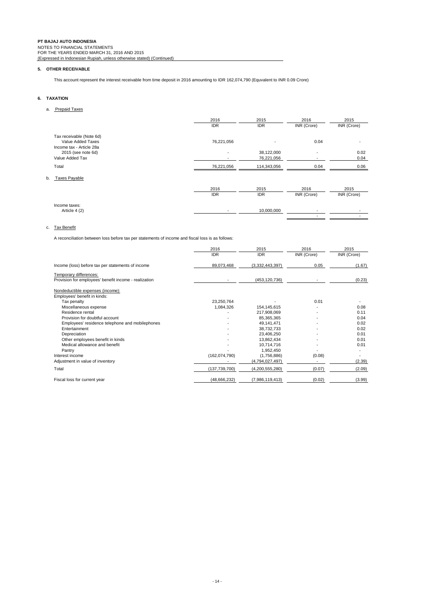#### **5. OTHER RECEIVABLE**

This account represent the interest receivable from time deposit in 2016 amounting to IDR 162,074,790 (Equvalent to INR 0.09 Crore)

#### **6. TAXATION**

#### a. Prepaid Taxes

|                                                                           | 2016<br><b>IDR</b> | 2015<br><b>IDR</b>       | 2016<br>INR (Crore) | 2015<br>INR (Crore) |
|---------------------------------------------------------------------------|--------------------|--------------------------|---------------------|---------------------|
| Tax receivable (Note 6d)<br>Value Added Taxes<br>Income tax - Article 28a | 76,221,056         |                          | 0.04                |                     |
| 2015 (see note 6d)<br>Value Added Tax                                     | ٠                  | 38,122,000<br>76,221,056 | ۰                   | 0.02<br>0.04        |
| Total                                                                     | 76,221,056         | 114,343,056              | 0.04                | 0.06                |
| <b>Taxes Payable</b><br>h.                                                |                    |                          |                     |                     |
|                                                                           | 2016<br><b>IDR</b> | 2015<br><b>IDR</b>       | 2016<br>INR (Crore) | 2015<br>INR (Crore) |
| Income taxes:<br>Article 4 (2)                                            |                    | 10.000.000               | ٠                   |                     |

- - - - - - - - - - - - - - - - -

#### c. Tax Benefit

A reconciliation between loss before tax per statements of income and fiscal loss is as follows:

|                                                       | 2016            | 2015            | 2016        | 2015        |
|-------------------------------------------------------|-----------------|-----------------|-------------|-------------|
|                                                       | <b>IDR</b>      | <b>IDR</b>      | INR (Crore) | INR (Crore) |
| Income (loss) before tax per statements of income     | 89,073,468      | (3,332,443,397) | 0.05        | (1.67)      |
| Temporary differences:                                |                 |                 |             |             |
| Provision for employees' benefit income - realization |                 | (453, 120, 736) |             | (0.23)      |
| Nondeductible expenses (income):                      |                 |                 |             |             |
| Employees' benefit in kinds:                          |                 |                 |             |             |
| Tax penalty                                           | 23,250,764      |                 | 0.01        |             |
| Miscellaneous expense                                 | 1,084,326       | 154, 145, 615   |             | 0.08        |
| Residence rental                                      |                 | 217,908,069     |             | 0.11        |
| Provision for doubtful account                        |                 | 85,365,365      |             | 0.04        |
| Employees' residence telephone and mobilephones       |                 | 49,141,471      |             | 0.02        |
| Entertainment                                         |                 | 38,732,733      |             | 0.02        |
| Depreciation                                          |                 | 23,406,250      |             | 0.01        |
| Other employees benefit in kinds                      |                 | 13,862,434      |             | 0.01        |
| Medical allowance and benefit                         |                 | 10,714,716      |             | 0.01        |
| Pantry                                                |                 | 1,952,450       |             |             |
| Interest income                                       | (162,074,790)   | (1,756,886)     | (0.08)      |             |
| Adjustment in value of inventory                      |                 | (4,794,027,497) |             | (2.39)      |
| Total                                                 | (137, 739, 700) | (4,200,555,280) | (0.07)      | (2.09)      |
| Fiscal loss for current year                          | (48,666,232)    | (7,986,119,413) | (0.02)      | (3.99)      |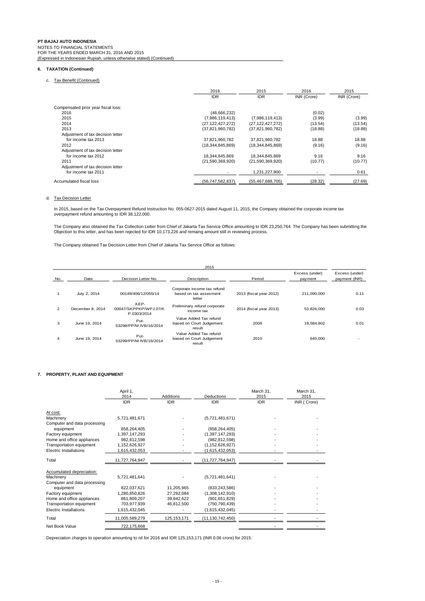#### **6. TAXATION (Continued)**

#### c. Tax Benefit (Continued)

|                                     | 2016                | 2015                | 2016        | 2015        |
|-------------------------------------|---------------------|---------------------|-------------|-------------|
|                                     | <b>IDR</b>          | <b>IDR</b>          | INR (Crore) | INR (Crore) |
| Compensated prior year fiscal loss: |                     |                     |             |             |
| 2016                                | (48,666,232)        |                     | (0.02)      |             |
| 2015                                | (7,986,119,413)     | (7,986,119,413)     | (3.99)      | (3.99)      |
| 2014                                | (27, 122, 427, 272) | (27, 122, 427, 272) | (13.54)     | (13.54)     |
| 2013                                | (37,821,960,782)    | (37,821,960,782)    | (18.88)     | (18.88)     |
| Adjustment of tax decision letter   |                     |                     |             |             |
| for income tax 2013                 | 37,821,960,782      | 37,821,960,782      | 18.88       | 18.88       |
| 2012                                | (18, 344, 845, 869) | (18,344,845,869)    | (9.16)      | (9.16)      |
| Adjustment of tax decision letter   |                     |                     |             |             |
| for income tax 2012                 | 18,344,845,869      | 18,344,845,869      | 9.16        | 9.16        |
| 2011                                | (21,590,369,920)    | (21,590,369,920)    | (10.77)     | (10.77)     |
| Adjustment of tax decision letter   |                     |                     |             |             |
| for income tax 2011                 |                     | 1,231,227,900       |             | 0.61        |
| Accumulated fiscal loss             | (56,747,582,837)    | (55, 467, 688, 705) | (28.32)     | (27.69)     |
|                                     |                     |                     |             |             |

#### d. Tax Decision Letter

In 2015, based on the Tax Overpayment Refund Instruction No. 055-0627-2015 dated August 11, 2015, the Company obtained the corporate income tax overpayment refund amounting to IDR 38,122,000.

The Company also obtained the Tax Collection Letter from Chief of Jakarta Tax Service Office amounting to IDR 23,250,764. The Company has been submitting the<br>Objection to this letter, and has been rejected for IDR 10,173,2

The Company obtained Tax Decision Letter from Chief of Jakarta Tax Service Office as follows:

| 2015           |                  |                                              |                                                                 |                         |                           |                                 |
|----------------|------------------|----------------------------------------------|-----------------------------------------------------------------|-------------------------|---------------------------|---------------------------------|
| No.            | Date             | Decision Letter No.                          | Description                                                     | Period                  | Excess (under)<br>payment | Excess (under)<br>payment (INR) |
|                | July 2, 2014     | 00149/406/12/055/14                          | Corporate income tax refund<br>based on tax assesment<br>letter | 2013 (fiscal year 2012) | 211.090.000               | 0.11                            |
| $\mathfrak{p}$ | December 8, 2014 | KEP-<br>00047/SKPPKP/WPJ.07/K<br>P.0303/2014 | Preliminary refund corporate<br>income tax                      | 2014 (fiscal year 2013) | 53.826.000                | 0.03                            |
| 3              | June 19, 2014    | Put-<br>53298/PP/M.IVB/16/2014               | Value Added Tax refund<br>based on Court Judgement<br>result    | 2009                    | 19.584.802                | 0.01                            |
| 4              | June 19, 2014    | Put-<br>53299/PP/M.IVB/16/2014               | Value Added Tax refund<br>based on Court Judgement<br>result    | 2010                    | 640,000                   |                                 |

#### **7. PROPERTY, PLANT AND EQUIPMENT**

|                               | April 1,           |                                |                          | March 31,          | March 31,           |
|-------------------------------|--------------------|--------------------------------|--------------------------|--------------------|---------------------|
|                               | 2014<br><b>IDR</b> | <b>Additions</b><br><b>IDR</b> | Deductions<br><b>IDR</b> | 2015<br><b>IDR</b> | 2015<br>INR (Crore) |
|                               |                    |                                |                          |                    |                     |
| At cost:                      |                    |                                |                          |                    |                     |
| Machinery                     | 5,721,481,671      |                                | (5,721,481,671)          |                    |                     |
| Computer and data processing  |                    |                                |                          |                    |                     |
| equipment                     | 858,264,405        |                                | (858, 264, 405)          |                    |                     |
| Factory equipment             | 1,397,147,293      |                                | (1,397,147,293)          |                    |                     |
| Home and office appliances    | 982,812,598        |                                | (982, 812, 598)          |                    |                     |
| Transportation equipment      | 1,152,626,927      |                                | (1, 152, 626, 927)       |                    |                     |
| <b>Electric Installations</b> | 1,615,432,053      |                                | (1,615,432,053)          |                    |                     |
| Total                         | 11,727,764,947     |                                | (11,727,764,947)         |                    |                     |
| Accumulated depreciation:     |                    |                                |                          |                    |                     |
| Machinery                     | 5,721,481,641      |                                | (5,721,481,641)          |                    |                     |
| Computer and data processing  |                    |                                |                          |                    |                     |
| equipment                     | 822,037,621        | 11,205,965                     | (833, 243, 586)          |                    |                     |
| Factory equipment             | 1,280,850,826      | 27,292,084                     | (1,308,142,910)          |                    |                     |
| Home and office appliances    | 861,809,207        | 39,842,622                     | (901, 651, 829)          |                    |                     |
| Transportation equipment      | 703,977,939        | 46,812,500                     | (750, 790, 439)          |                    |                     |
| <b>Electric Installations</b> | 1,615,432,045      |                                | (1,615,432,045)          |                    |                     |
|                               |                    |                                |                          |                    |                     |
| Total                         | 11,005,589,279     | 125, 153, 171                  | (11, 130, 742, 450)      |                    |                     |
| Net Book Value                | 722,175,668        |                                |                          |                    |                     |

Depreciation charges to operation amounting to nil for 2016 and IDR 125,153,171 (INR 0.06 crore) for 2015.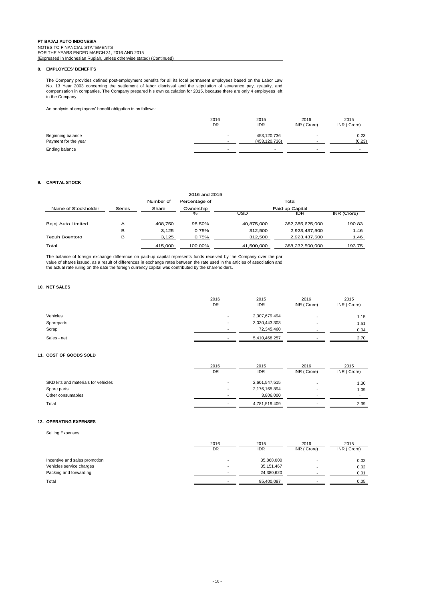#### **8. EMPLOYEES' BENEFITS**

The Company provides defined post-employment benefits for all its local permanent employees based on the Labor Law No. 13 Year 2003 concerning the settlement of labor dismissal and the stipulation of severance pay, gratuity, and<br>compensation in companies. The Company prepared his own calculation for 2015, because there are only 4 emplo

An analysis of employees' benefit obligation is as follows:

|                      | 2016<br><b>IDR</b> | 2015<br><b>IDR</b> | 2016<br>INR (Crore) | 2015<br>INR (Crore) |
|----------------------|--------------------|--------------------|---------------------|---------------------|
| Beginning balance    |                    | 453,120,736        |                     | 0.23                |
| Payment for the year |                    | (453, 120, 736)    |                     | (0.23)              |
| Ending balance       |                    |                    |                     |                     |

#### **9. CAPITAL STOCK**

|                       |        |           | 2016 and 2015 |            |                 |             |
|-----------------------|--------|-----------|---------------|------------|-----------------|-------------|
|                       |        | Number of | Percentage of |            | Total           |             |
| Name of Stockholder   | Series | Share     | Ownership     |            | Paid-up Capital |             |
|                       |        |           | %             | USD        | <b>IDR</b>      | INR (Crore) |
| Bajaj Auto Limited    | A      | 408.750   | 98.50%        | 40.875.000 | 382.385.625.000 | 190.83      |
|                       | в      | 3.125     | 0.75%         | 312.500    | 2,923,437,500   | 1.46        |
| <b>Teguh Boentoro</b> | в      | 3,125     | 0.75%         | 312,500    | 2,923,437,500   | 1.46        |
| Total                 |        | 415,000   | 100.00%       | 41,500,000 | 388,232,500,000 | 193.75      |

The balance of foreign exchange difference on paid-up capital represents funds received by the Company over the par value of shares issued, as a result of differences in exchange rates between the rate used in the articles of association and<br>the actual rate ruling on the date the foreign currency capital was contributed by the sharehold

#### **10. NET SALES**

|             | 2016                     | 2015          | 2016        | 2015        |
|-------------|--------------------------|---------------|-------------|-------------|
|             | <b>IDR</b>               | <b>IDR</b>    | INR (Crore) | INR (Crore) |
| Vehicles    |                          | 2,307,679,494 |             | 1.15        |
| Spareparts  | -                        | 3,030,443,303 |             | 1.51        |
| Scrap       | -                        | 72,345,460    |             | 0.04        |
| Sales - net | $\overline{\phantom{0}}$ | 5,410,468,257 |             | 2.70        |

#### **11. COST OF GOODS SOLD**

|                                     | 2016                     | 2015          | 2016                     | 2015        |
|-------------------------------------|--------------------------|---------------|--------------------------|-------------|
|                                     | <b>IDR</b>               | IDR           | INR (Crore)              | INR (Crore) |
| SKD kits and materials for vehicles | $\overline{\phantom{a}}$ | 2,601,547,515 |                          | 1.30        |
| Spare parts                         | $\overline{\phantom{a}}$ | 2,176,165,894 |                          | 1.09        |
| Other consumables                   |                          | 3.806.000     | $\overline{\phantom{0}}$ | $\sim$      |
| Total                               | $\overline{\phantom{0}}$ | 4,781,519,409 | $\overline{\phantom{0}}$ | 2.39        |

#### **12. OPERATING EXPENSES**

#### **Selling Expenses**

|                               | 2016                     | 2015       | 2016        | 2015        |
|-------------------------------|--------------------------|------------|-------------|-------------|
|                               | <b>IDR</b>               | <b>IDR</b> | INR (Crore) | INR (Crore) |
| Incentive and sales promotion |                          | 35,868,000 |             | 0.02        |
| Vehicles service charges      |                          | 35,151,467 |             | 0.02        |
| Packing and forwarding        | $\overline{\phantom{0}}$ | 24,380,620 |             | 0.01        |
| Total                         |                          | 95,400,087 |             | 0.05        |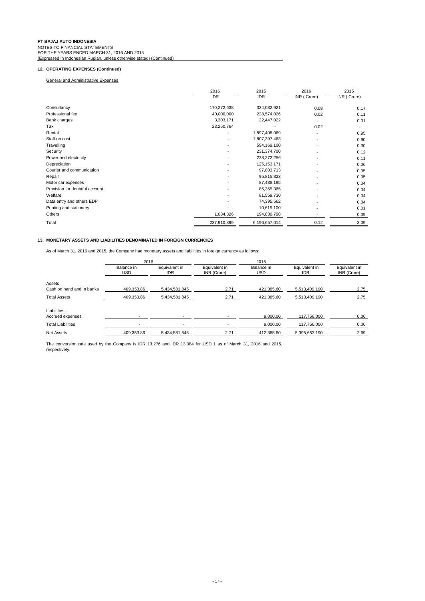(Expressed in Indonesian Rupiah, unless otherwise stated) (Continued)

#### **12. OPERATING EXPENSES (Continued)**

#### General and Administrative Expenses

|                                | 2016<br><b>IDR</b>       | 2015<br><b>IDR</b> | 2016<br>INR (Crore) | 2015<br>INR (Crore) |
|--------------------------------|--------------------------|--------------------|---------------------|---------------------|
|                                |                          |                    |                     |                     |
| Consultancy                    | 170,272,638              | 334,032,921        | 0.08                | 0.17                |
| Professional fee               | 40,000,000               | 228,574,026        | 0.02                | 0.11                |
| Bank charges                   | 3,303,171                | 22,447,022         |                     | 0.01                |
| Tax                            | 23,250,764               |                    | 0.02                |                     |
| Rental                         | ٠                        | 1,897,408,069      |                     | 0.95                |
| Staff on cost                  | ٠                        | 1,807,397,463      |                     | 0.90                |
| Travelling                     | ٠                        | 594,169,100        |                     | 0.30                |
| Security                       | $\overline{\phantom{a}}$ | 231,374,700        |                     | 0.12                |
| Power and electricity          | ٠                        | 228,272,256        |                     | 0.11                |
| Depreciation                   |                          | 125, 153, 171      |                     | 0.06                |
| Courier and communication      | ٠                        | 97,803,713         |                     | 0.05                |
| Repair                         |                          | 95,815,823         |                     | 0.05                |
| Motor car expenses             |                          | 87,438,195         |                     | 0.04                |
| Provision for doubtful account |                          | 85,365,365         |                     | 0.04                |
| Welfare                        |                          | 81,559,730         |                     | 0.04                |
| Data entry and others EDP      |                          | 74,395,562         |                     | 0.04                |
| Printing and stationery        |                          | 10,619,100         |                     | 0.01                |
| Others                         | 1,084,326                | 194,830,798        |                     | 0.09                |
| Total                          | 237,910,899              | 6,196,657,014      | 0.12                | 3.09                |

#### **13. MONETARY ASSETS AND LIABILITIES DENOMINATED IN FOREIGN CURRENCIES**

As of March 31, 2016 and 2015, the Company had monetary assets and liabilities in foreign currency as follows:

|                                     | 2016              |                       |                              |                          |                             |                              |
|-------------------------------------|-------------------|-----------------------|------------------------------|--------------------------|-----------------------------|------------------------------|
|                                     | Balance in<br>USD | Equivalent in<br>IDR. | Equivalent in<br>INR (Crore) | Balance in<br><b>USD</b> | Equivalent in<br><b>IDR</b> | Equivalent in<br>INR (Crore) |
| Assets<br>Cash on hand and in banks | 409.353.86        | 5,434,581,845         | 2.71                         | 421.385.60               | 5,513,409,190               | 2.75                         |
| <b>Total Assets</b>                 | 409.353.86        | 5,434,581,845         | 2.71                         | 421,385.60               | 5,513,409,190               | 2.75                         |
| Liabilities                         |                   |                       |                              |                          |                             |                              |
| Accrued expenses                    |                   | ٠                     |                              | 9,000.00                 | 117,756,000                 | 0.06                         |
| <b>Total Liabilities</b>            |                   |                       |                              | 9.000.00                 | 117.756.000                 | 0.06                         |
| <b>Net Assets</b>                   | 409.353.86        | 5.434.581.845         | 2.71                         | 412.385.60               | 5.395.653.190               | 2.69                         |

The conversion rate used by the Company is IDR 13,276 and IDR 13,084 for USD 1 as of March 31, 2016 and 2015, respectively.